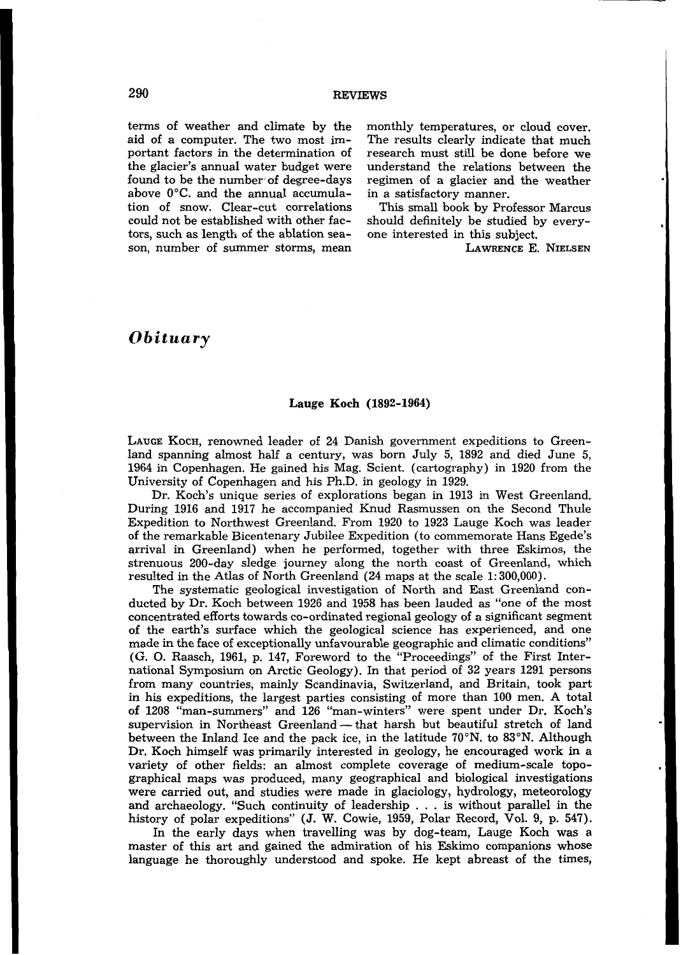terms of weather and climate by the aid of a computer. The two most important factors in the determination of the glacier's annual water budget were found to be the number of degree-days above 0°C. and the annual accumulation of snow. Clear-cut correlations could not be established with other factors, such as length of the ablation season, number of summer storms, mean monthly temperatures, or cloud cover. The results clearly indicate that much research must still be done before we understand the relations between the regimen of a glacier and the weather in a satisfactory manner.

This small book by Professor Marcus should definitely be studied by everyone interested in this subject.

LAWRENCE E. NIELSEN

## *Obituary*

#### **Lauge Koch (1892-1964)**

**LAUCE** KOCH, renowned leader of **24** Danish government expeditions to Greenland spanning almost half a century, was born July **5, 1892** and died June **5, 1964** in Copenhagen. He gained his Mag. Scient. (cartography) in **1920** from the University of Copenhagen and his Ph.D. in geology in **1929.** 

Dr. Koch's unique series of explorations began **in 1913** in West Greenland, During **1916** and **1917** he accompanied Knud Rasmussen on the Second Thule Expedition to Northwest Greenland. From **1920** to **1923** Lauge Koch was leader of the remarkable Bicentenary Jubilee Expedition (to commemorate Hans Egede's arrival in Greenland) when he performed, together with three Eskimos, the strenuous 200-day sledge journey along the north coast of Greenland, which resulted in the Atlas of North Greenland **(24** maps at the scale **1: 300,000).** 

The systematic geological investigation of North and East Greenland conducted by Dr. Koch between 1926 and 1958 has been lauded as "one of the most concentrated efforts towards eo-ordinated regional geology of a significant segment of the earth's surface which the geological science has experienced, and one made in the face of exceptionally unfavourable geographic and climatic conditions" (G. *0.* Raasch, **1961,** p. **147,** Foreword to the "Proceedings" of the First International Symposium on Arctic Geology). In that period of **32** years **1291** persons from many countries, mainly Scandinavia, Switzerland, and Britain, took part in his expeditions, the largest parties consisting of more than **100** men. A total of **1208** "man-summers" and **126** "man-winters" were spent under Dr. Koch's supervision in Northeast Greenland - that harsh but beautiful stretch of land between the Inland Ice and the pack ice, in the latitude **70"N.** to 83"N. Although Dr. Koch himself was primarily interested in geology, he encouraged work in a variety of other fields: an almost complete coverage of medium-scale topographical maps was produced, many geographical and biological investigations were carried out, and studies were made in glaciology, hydrology, meteorology and archaeology. "Such continuity of leadership . . . is without parallel in the history of polar expeditions" **(J. W.** Cowie, **1959,** Polar Record, Vol. **9, p. 547).** 

In the early days when travelling was by dog-team, Lauge Koch was a master of this art and gained the admiration of his Eskimo companions whose language he thoroughly understood and spoke. He kept abreast of the times,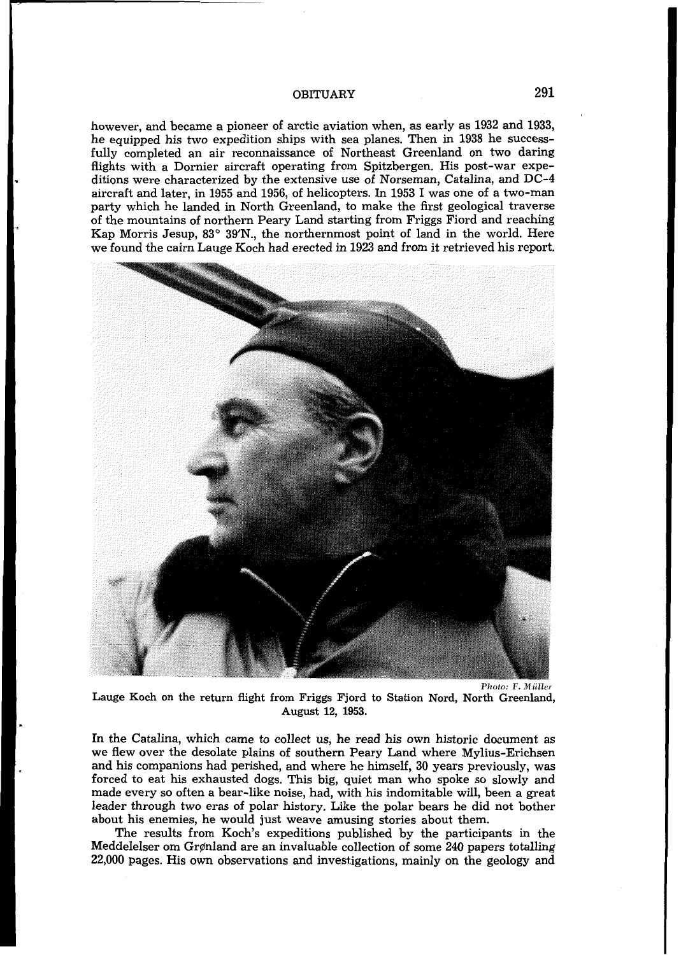#### OBITUARY **291**

however, and became a pioneer of arctic aviation when, as early as **1932** and **1933,**  he equipped his two expedition ships with sea planes. Then in **1938** he successfully completed an air reconnaissance of Northeast Greenland on two daring flights with a Dornier aircraft operating from Spitzbergen. His post-war expeditions were characterized by the extensive use of Norseman, Catalina, and DC-4 aircraft and later, in **1955** and **1956,** of helicopters. In **1953 I** was one of a two-man party which he landed in North Greenland, to make the first geological traverse of the mountains of northern Peary Land starting from Friggs Fiord and reaching Kap Morris Jesup, **83" 39'N.,** the northernmost point of land in the world. Here we found the cairn Lauge Koch had erected in **1923** and from it retrieved his report.



Lauge Koch on the return flight from Friggs Fjord to Station Nord, North Greenland, August **12, 1953.**   $Photo: F. Müller$ 

In the Catalina, which came to collect us, he read his own historic document as we flew over the desolate plains of southern Peary Land where Mylius-Erichsen and his companions had perished, and where he himself, **30** years previously, was forced to eat his exhausted dogs. This big, quiet man who spoke so slowly and made every so often a bear-like noise, had, with his indomitable will, been a great leader through two eras of polar history. Like the polar bears he did not bother about his enemies, he would just weave amusing stories about them.

The results from Koch's expeditions published by the participants in the Meddelelser om Grønland are an invaluable collection of some 240 papers totalling **22,000** pages. His **own** observations and investigations, mainly on the geology and